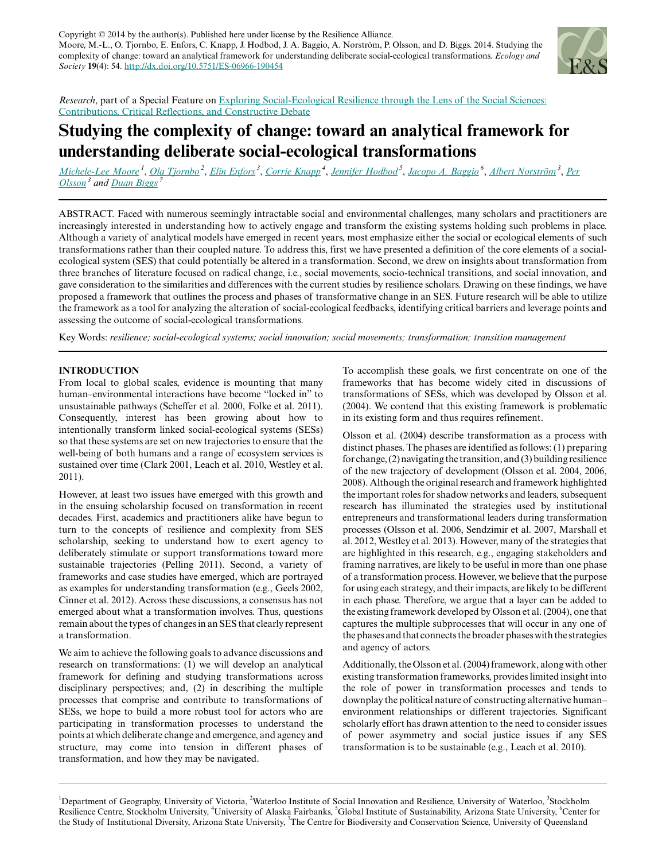Copyright  $© 2014$  by the author(s). Published here under license by the Resilience Alliance. Moore, M.-L., O. Tjornbo, E. Enfors, C. Knapp, J. Hodbod, J. A. Baggio, A. Norström, P. Olsson, and D. Biggs. 2014. Studying the complexity of change: toward an analytical framework for understanding deliberate social-ecological transformations. *Ecology and Society* **19**(4): 54.<http://dx.doi.org/10.5751/ES-06966-190454>



*Research*, part of a Special Feature on [Exploring Social-Ecological Resilience through the Lens of the Social Sciences:](http://www.ecologyandsociety.org/viewissue.php?sf=99) [Contributions, Critical Reflections, and Constructive Debate](http://www.ecologyandsociety.org/viewissue.php?sf=99)

# **Studying the complexity of change: toward an analytical framework for understanding deliberate social-ecological transformations**

<u>[Michele-Lee Moore](mailto:mlmoore@uvic.ca)<sup>1</sup>, [Ola Tjornbo](mailto:ola.tjornbo@gmail.com)<sup>2</sup>, [Elin Enfors](mailto:elin.enfors@stockholmresilience.su.se)<sup>3</sup>, [Corrie Knapp](mailto:corrieknapp@yahoo.com)<sup>4</sup>, [Jennifer Hodbod](mailto:jennifer.hodbod@asu.edu)<sup>5</sup>, [Jacopo A. Baggio](mailto:jbaggio@asu.edu)<sup>6</sup>, [Albert Norström](mailto:albert.norstrom@stockholmresilience.su.se)<sup>3</sup>, [Per](mailto:per.olsson@stockholmresilience.su.se)</u> *[Olsson](mailto:per.olsson@stockholmresilience.su.se)<sup>3</sup> and [Duan Biggs](mailto:ancientantwren@gmail.com)<sup>7</sup>*

ABSTRACT. Faced with numerous seemingly intractable social and environmental challenges, many scholars and practitioners are increasingly interested in understanding how to actively engage and transform the existing systems holding such problems in place. Although a variety of analytical models have emerged in recent years, most emphasize either the social or ecological elements of such transformations rather than their coupled nature. To address this, first we have presented a definition of the core elements of a socialecological system (SES) that could potentially be altered in a transformation. Second, we drew on insights about transformation from three branches of literature focused on radical change, i.e., social movements, socio-technical transitions, and social innovation, and gave consideration to the similarities and differences with the current studies by resilience scholars. Drawing on these findings, we have proposed a framework that outlines the process and phases of transformative change in an SES. Future research will be able to utilize the framework as a tool for analyzing the alteration of social-ecological feedbacks, identifying critical barriers and leverage points and assessing the outcome of social-ecological transformations.

Key Words: *resilience; social-ecological systems; social innovation; social movements; transformation; transition management*

#### **INTRODUCTION**

From local to global scales, evidence is mounting that many human–environmental interactions have become "locked in" to unsustainable pathways (Scheffer et al. 2000, Folke et al. 2011). Consequently, interest has been growing about how to intentionally transform linked social-ecological systems (SESs) so that these systems are set on new trajectories to ensure that the well-being of both humans and a range of ecosystem services is sustained over time (Clark 2001, Leach et al. 2010, Westley et al. 2011).

However, at least two issues have emerged with this growth and in the ensuing scholarship focused on transformation in recent decades. First, academics and practitioners alike have begun to turn to the concepts of resilience and complexity from SES scholarship, seeking to understand how to exert agency to deliberately stimulate or support transformations toward more sustainable trajectories (Pelling 2011). Second, a variety of frameworks and case studies have emerged, which are portrayed as examples for understanding transformation (e.g., Geels 2002, Cinner et al. 2012). Across these discussions, a consensus has not emerged about what a transformation involves. Thus, questions remain about the types of changes in an SES that clearly represent a transformation.

We aim to achieve the following goals to advance discussions and research on transformations: (1) we will develop an analytical framework for defining and studying transformations across disciplinary perspectives; and, (2) in describing the multiple processes that comprise and contribute to transformations of SES<sub>s</sub>, we hope to build a more robust tool for actors who are participating in transformation processes to understand the points at which deliberate change and emergence, and agency and structure, may come into tension in different phases of transformation, and how they may be navigated.

To accomplish these goals, we first concentrate on one of the frameworks that has become widely cited in discussions of transformations of SESs, which was developed by Olsson et al. (2004). We contend that this existing framework is problematic in its existing form and thus requires refinement.

Olsson et al. (2004) describe transformation as a process with distinct phases. The phases are identified as follows: (1) preparing for change, (2) navigating the transition, and (3) building resilience of the new trajectory of development (Olsson et al. 2004, 2006, 2008). Although the original research and framework highlighted the important roles for shadow networks and leaders, subsequent research has illuminated the strategies used by institutional entrepreneurs and transformational leaders during transformation processes (Olsson et al. 2006, Sendzimir et al. 2007, Marshall et al. 2012, Westley et al. 2013). However, many of the strategies that are highlighted in this research, e.g., engaging stakeholders and framing narratives, are likely to be useful in more than one phase of a transformation process. However, we believe that the purpose for using each strategy, and their impacts, are likely to be different in each phase. Therefore, we argue that a layer can be added to the existing framework developed by Olsson et al. (2004), one that captures the multiple subprocesses that will occur in any one of the phases and that connects the broader phases with the strategies and agency of actors.

Additionally, the Olsson et al. (2004) framework, along with other existing transformation frameworks, provides limited insight into the role of power in transformation processes and tends to downplay the political nature of constructing alternative human– environment relationships or different trajectories. Significant scholarly effort has drawn attention to the need to consider issues of power asymmetry and social justice issues if any SES transformation is to be sustainable (e.g., Leach et al. 2010).

<sup>&</sup>lt;sup>1</sup>Department of Geography, University of Victoria, <sup>2</sup>Waterloo Institute of Social Innovation and Resilience, University of Waterloo, <sup>3</sup>Stockholm Resilience Centre, Stockholm University, <sup>4</sup>University of Alaska Fairbanks, <sup>5</sup>Global Institute of Sustainability, Arizona State University, <sup>6</sup>Center for the Study of Institutional Diversity, Arizona State University, <sup>7</sup>The Centre for Biodiversity and Conservation Science, University of Queensland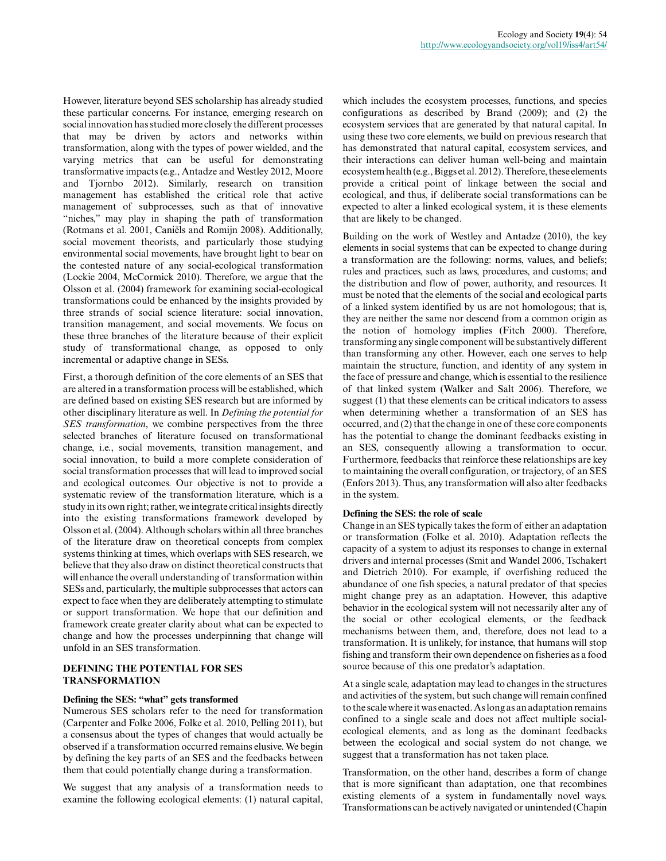However, literature beyond SES scholarship has already studied these particular concerns. For instance, emerging research on social innovation has studied more closely the different processes that may be driven by actors and networks within transformation, along with the types of power wielded, and the varying metrics that can be useful for demonstrating transformative impacts (e.g., Antadze and Westley 2012, Moore and Tjornbo 2012). Similarly, research on transition management has established the critical role that active management of subprocesses, such as that of innovative "niches," may play in shaping the path of transformation (Rotmans et al. 2001, Caniëls and Romijn 2008). Additionally, social movement theorists, and particularly those studying environmental social movements, have brought light to bear on the contested nature of any social-ecological transformation (Lockie 2004, McCormick 2010). Therefore, we argue that the Olsson et al. (2004) framework for examining social-ecological transformations could be enhanced by the insights provided by three strands of social science literature: social innovation, transition management, and social movements. We focus on these three branches of the literature because of their explicit study of transformational change, as opposed to only incremental or adaptive change in SESs.

First, a thorough definition of the core elements of an SES that are altered in a transformation process will be established, which are defined based on existing SES research but are informed by other disciplinary literature as well. In *Defining the potential for SES transformation*, we combine perspectives from the three selected branches of literature focused on transformational change, i.e., social movements, transition management, and social innovation, to build a more complete consideration of social transformation processes that will lead to improved social and ecological outcomes. Our objective is not to provide a systematic review of the transformation literature, which is a study in its own right; rather, we integrate critical insights directly into the existing transformations framework developed by Olsson et al. (2004). Although scholars within all three branches of the literature draw on theoretical concepts from complex systems thinking at times, which overlaps with SES research, we believe that they also draw on distinct theoretical constructs that will enhance the overall understanding of transformation within SESs and, particularly, the multiple subprocesses that actors can expect to face when they are deliberately attempting to stimulate or support transformation. We hope that our definition and framework create greater clarity about what can be expected to change and how the processes underpinning that change will unfold in an SES transformation.

# **DEFINING THE POTENTIAL FOR SES TRANSFORMATION**

## **Defining the SES: "what" gets transformed**

Numerous SES scholars refer to the need for transformation (Carpenter and Folke 2006, Folke et al. 2010, Pelling 2011), but a consensus about the types of changes that would actually be observed if a transformation occurred remains elusive. We begin by defining the key parts of an SES and the feedbacks between them that could potentially change during a transformation.

We suggest that any analysis of a transformation needs to examine the following ecological elements: (1) natural capital,

which includes the ecosystem processes, functions, and species configurations as described by Brand (2009); and (2) the ecosystem services that are generated by that natural capital. In using these two core elements, we build on previous research that has demonstrated that natural capital, ecosystem services, and their interactions can deliver human well-being and maintain ecosystem health (e.g., Biggs et al. 2012). Therefore, these elements provide a critical point of linkage between the social and ecological, and thus, if deliberate social transformations can be expected to alter a linked ecological system, it is these elements that are likely to be changed.

Building on the work of Westley and Antadze (2010), the key elements in social systems that can be expected to change during a transformation are the following: norms, values, and beliefs; rules and practices, such as laws, procedures, and customs; and the distribution and flow of power, authority, and resources. It must be noted that the elements of the social and ecological parts of a linked system identified by us are not homologous; that is, they are neither the same nor descend from a common origin as the notion of homology implies (Fitch 2000). Therefore, transforming any single component will be substantively different than transforming any other. However, each one serves to help maintain the structure, function, and identity of any system in the face of pressure and change, which is essential to the resilience of that linked system (Walker and Salt 2006). Therefore, we suggest (1) that these elements can be critical indicators to assess when determining whether a transformation of an SES has occurred, and (2) that the change in one of these core components has the potential to change the dominant feedbacks existing in an SES, consequently allowing a transformation to occur. Furthermore, feedbacks that reinforce these relationships are key to maintaining the overall configuration, or trajectory, of an SES (Enfors 2013). Thus, any transformation will also alter feedbacks in the system.

#### **Defining the SES: the role of scale**

Change in an SES typically takes the form of either an adaptation or transformation (Folke et al. 2010). Adaptation reflects the capacity of a system to adjust its responses to change in external drivers and internal processes (Smit and Wandel 2006, Tschakert and Dietrich 2010). For example, if overfishing reduced the abundance of one fish species, a natural predator of that species might change prey as an adaptation. However, this adaptive behavior in the ecological system will not necessarily alter any of the social or other ecological elements, or the feedback mechanisms between them, and, therefore, does not lead to a transformation. It is unlikely, for instance, that humans will stop fishing and transform their own dependence on fisheries as a food source because of this one predator's adaptation.

At a single scale, adaptation may lead to changes in the structures and activities of the system, but such change will remain confined to the scale where it was enacted. As long as an adaptation remains confined to a single scale and does not affect multiple socialecological elements, and as long as the dominant feedbacks between the ecological and social system do not change, we suggest that a transformation has not taken place.

Transformation, on the other hand, describes a form of change that is more significant than adaptation, one that recombines existing elements of a system in fundamentally novel ways. Transformations can be actively navigated or unintended (Chapin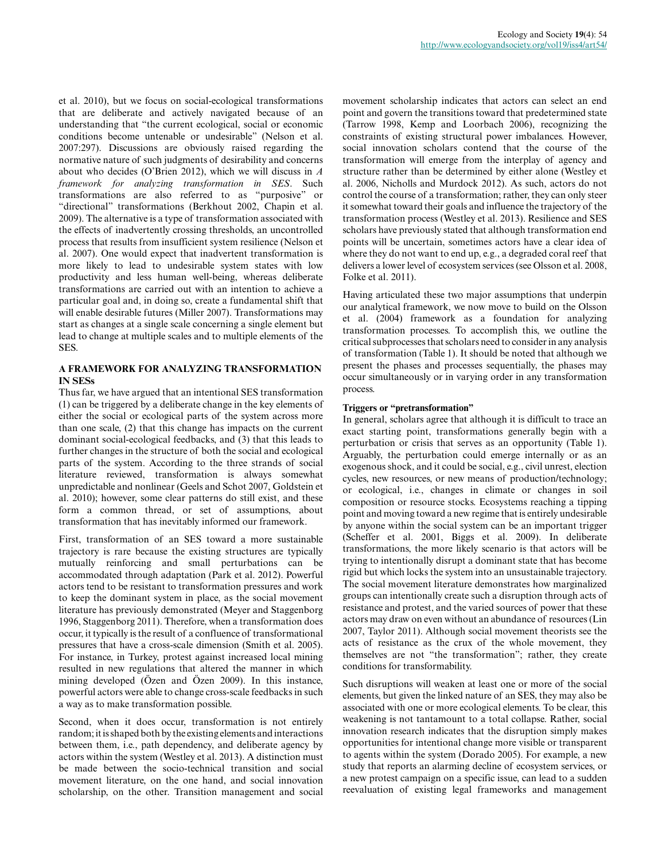et al. 2010), but we focus on social-ecological transformations that are deliberate and actively navigated because of an understanding that "the current ecological, social or economic conditions become untenable or undesirable" (Nelson et al. 2007:297). Discussions are obviously raised regarding the normative nature of such judgments of desirability and concerns about who decides (O'Brien 2012), which we will discuss in *A framework for analyzing transformation in SES*. Such transformations are also referred to as "purposive" or "directional" transformations (Berkhout 2002, Chapin et al. 2009). The alternative is a type of transformation associated with the effects of inadvertently crossing thresholds, an uncontrolled process that results from insufficient system resilience (Nelson et al. 2007). One would expect that inadvertent transformation is more likely to lead to undesirable system states with low productivity and less human well-being, whereas deliberate transformations are carried out with an intention to achieve a particular goal and, in doing so, create a fundamental shift that will enable desirable futures (Miller 2007). Transformations may start as changes at a single scale concerning a single element but lead to change at multiple scales and to multiple elements of the SES.

# **A FRAMEWORK FOR ANALYZING TRANSFORMATION IN SESs**

Thus far, we have argued that an intentional SES transformation (1) can be triggered by a deliberate change in the key elements of either the social or ecological parts of the system across more than one scale, (2) that this change has impacts on the current dominant social-ecological feedbacks, and (3) that this leads to further changes in the structure of both the social and ecological parts of the system. According to the three strands of social literature reviewed, transformation is always somewhat unpredictable and nonlinear (Geels and Schot 2007, Goldstein et al. 2010); however, some clear patterns do still exist, and these form a common thread, or set of assumptions, about transformation that has inevitably informed our framework.

First, transformation of an SES toward a more sustainable trajectory is rare because the existing structures are typically mutually reinforcing and small perturbations can be accommodated through adaptation (Park et al. 2012). Powerful actors tend to be resistant to transformation pressures and work to keep the dominant system in place, as the social movement literature has previously demonstrated (Meyer and Staggenborg 1996, Staggenborg 2011). Therefore, when a transformation does occur, it typically is the result of a confluence of transformational pressures that have a cross-scale dimension (Smith et al. 2005). For instance, in Turkey, protest against increased local mining resulted in new regulations that altered the manner in which mining developed (Özen and Özen 2009). In this instance, powerful actors were able to change cross-scale feedbacks in such a way as to make transformation possible.

Second, when it does occur, transformation is not entirely random; it is shaped both by the existing elements and interactions between them, i.e., path dependency, and deliberate agency by actors within the system (Westley et al. 2013). A distinction must be made between the socio-technical transition and social movement literature, on the one hand, and social innovation scholarship, on the other. Transition management and social movement scholarship indicates that actors can select an end point and govern the transitions toward that predetermined state (Tarrow 1998, Kemp and Loorbach 2006), recognizing the constraints of existing structural power imbalances. However, social innovation scholars contend that the course of the transformation will emerge from the interplay of agency and structure rather than be determined by either alone (Westley et al. 2006, Nicholls and Murdock 2012). As such, actors do not control the course of a transformation; rather, they can only steer it somewhat toward their goals and influence the trajectory of the transformation process (Westley et al. 2013). Resilience and SES scholars have previously stated that although transformation end points will be uncertain, sometimes actors have a clear idea of where they do not want to end up, e.g., a degraded coral reef that delivers a lower level of ecosystem services (see Olsson et al. 2008, Folke et al. 2011).

Having articulated these two major assumptions that underpin our analytical framework, we now move to build on the Olsson et al. (2004) framework as a foundation for analyzing transformation processes. To accomplish this, we outline the critical subprocesses that scholars need to consider in any analysis of transformation (Table 1). It should be noted that although we present the phases and processes sequentially, the phases may occur simultaneously or in varying order in any transformation process.

# **Triggers or "pretransformation"**

In general, scholars agree that although it is difficult to trace an exact starting point, transformations generally begin with a perturbation or crisis that serves as an opportunity (Table 1). Arguably, the perturbation could emerge internally or as an exogenous shock, and it could be social, e.g., civil unrest, election cycles, new resources, or new means of production/technology; or ecological, i.e., changes in climate or changes in soil composition or resource stocks. Ecosystems reaching a tipping point and moving toward a new regime that is entirely undesirable by anyone within the social system can be an important trigger (Scheffer et al. 2001, Biggs et al. 2009). In deliberate transformations, the more likely scenario is that actors will be trying to intentionally disrupt a dominant state that has become rigid but which locks the system into an unsustainable trajectory. The social movement literature demonstrates how marginalized groups can intentionally create such a disruption through acts of resistance and protest, and the varied sources of power that these actors may draw on even without an abundance of resources (Lin 2007, Taylor 2011). Although social movement theorists see the acts of resistance as the crux of the whole movement, they themselves are not "the transformation"; rather, they create conditions for transformability.

Such disruptions will weaken at least one or more of the social elements, but given the linked nature of an SES, they may also be associated with one or more ecological elements. To be clear, this weakening is not tantamount to a total collapse. Rather, social innovation research indicates that the disruption simply makes opportunities for intentional change more visible or transparent to agents within the system (Dorado 2005). For example, a new study that reports an alarming decline of ecosystem services, or a new protest campaign on a specific issue, can lead to a sudden reevaluation of existing legal frameworks and management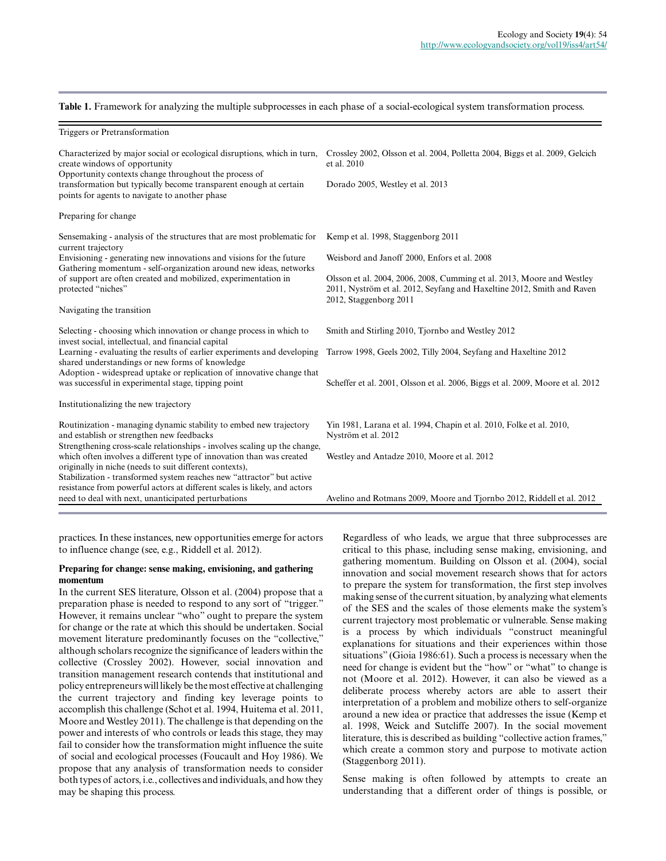**Table 1.** Framework for analyzing the multiple subprocesses in each phase of a social-ecological system transformation process.

| Triggers or Pretransformation                                                                                                                                                                            |                                                                                                                                                                            |
|----------------------------------------------------------------------------------------------------------------------------------------------------------------------------------------------------------|----------------------------------------------------------------------------------------------------------------------------------------------------------------------------|
| Characterized by major social or ecological disruptions, which in turn,<br>create windows of opportunity<br>Opportunity contexts change throughout the process of                                        | Crossley 2002, Olsson et al. 2004, Polletta 2004, Biggs et al. 2009, Gelcich<br>et al. 2010                                                                                |
| transformation but typically become transparent enough at certain<br>points for agents to navigate to another phase                                                                                      | Dorado 2005, Westley et al. 2013                                                                                                                                           |
| Preparing for change                                                                                                                                                                                     |                                                                                                                                                                            |
| Sensemaking - analysis of the structures that are most problematic for<br>current trajectory                                                                                                             | Kemp et al. 1998, Staggenborg 2011                                                                                                                                         |
| Envisioning - generating new innovations and visions for the future<br>Gathering momentum - self-organization around new ideas, networks                                                                 | Weisbord and Janoff 2000, Enfors et al. 2008                                                                                                                               |
| of support are often created and mobilized, experimentation in<br>protected "niches"                                                                                                                     | Olsson et al. 2004, 2006, 2008, Cumming et al. 2013, Moore and Westley<br>2011, Nyström et al. 2012, Seyfang and Haxeltine 2012, Smith and Raven<br>2012, Staggenborg 2011 |
| Navigating the transition                                                                                                                                                                                |                                                                                                                                                                            |
| Selecting - choosing which innovation or change process in which to<br>invest social, intellectual, and financial capital                                                                                | Smith and Stirling 2010, Tjornbo and Westley 2012                                                                                                                          |
| Learning - evaluating the results of earlier experiments and developing<br>shared understandings or new forms of knowledge                                                                               | Tarrow 1998, Geels 2002, Tilly 2004, Seyfang and Haxeltine 2012                                                                                                            |
| Adoption - widespread uptake or replication of innovative change that<br>was successful in experimental stage, tipping point                                                                             | Scheffer et al. 2001, Olsson et al. 2006, Biggs et al. 2009, Moore et al. 2012                                                                                             |
| Institutionalizing the new trajectory                                                                                                                                                                    |                                                                                                                                                                            |
| Routinization - managing dynamic stability to embed new trajectory<br>and establish or strengthen new feedbacks<br>Strengthening cross-scale relationships - involves scaling up the change,             | Yin 1981, Larana et al. 1994, Chapin et al. 2010, Folke et al. 2010,<br>Nyström et al. 2012                                                                                |
| which often involves a different type of innovation than was created<br>originally in niche (needs to suit different contexts),<br>Stabilization - transformed system reaches new "attractor" but active | Westley and Antadze 2010, Moore et al. 2012                                                                                                                                |
| resistance from powerful actors at different scales is likely, and actors                                                                                                                                |                                                                                                                                                                            |
| need to deal with next, unanticipated perturbations                                                                                                                                                      | Avelino and Rotmans 2009, Moore and Tiornbo 2012, Riddell et al. 2012                                                                                                      |
|                                                                                                                                                                                                          |                                                                                                                                                                            |

practices. In these instances, new opportunities emerge for actors to influence change (see, e.g., Riddell et al. 2012).

# **Preparing for change: sense making, envisioning, and gathering momentum**

In the current SES literature, Olsson et al. (2004) propose that a preparation phase is needed to respond to any sort of "trigger." However, it remains unclear "who" ought to prepare the system for change or the rate at which this should be undertaken. Social movement literature predominantly focuses on the "collective," although scholars recognize the significance of leaders within the collective (Crossley 2002). However, social innovation and transition management research contends that institutional and policy entrepreneurs will likely be the most effective at challenging the current trajectory and finding key leverage points to accomplish this challenge (Schot et al. 1994, Huitema et al. 2011, Moore and Westley 2011). The challenge is that depending on the power and interests of who controls or leads this stage, they may fail to consider how the transformation might influence the suite of social and ecological processes (Foucault and Hoy 1986). We propose that any analysis of transformation needs to consider both types of actors, i.e., collectives and individuals, and how they may be shaping this process.

Regardless of who leads, we argue that three subprocesses are critical to this phase, including sense making, envisioning, and gathering momentum. Building on Olsson et al. (2004), social innovation and social movement research shows that for actors to prepare the system for transformation, the first step involves making sense of the current situation, by analyzing what elements of the SES and the scales of those elements make the system's current trajectory most problematic or vulnerable. Sense making is a process by which individuals "construct meaningful explanations for situations and their experiences within those situations" (Gioia 1986:61). Such a process is necessary when the need for change is evident but the "how" or "what" to change is not (Moore et al. 2012). However, it can also be viewed as a deliberate process whereby actors are able to assert their interpretation of a problem and mobilize others to self-organize around a new idea or practice that addresses the issue (Kemp et al. 1998, Weick and Sutcliffe 2007). In the social movement literature, this is described as building "collective action frames," which create a common story and purpose to motivate action (Staggenborg 2011).

Sense making is often followed by attempts to create an understanding that a different order of things is possible, or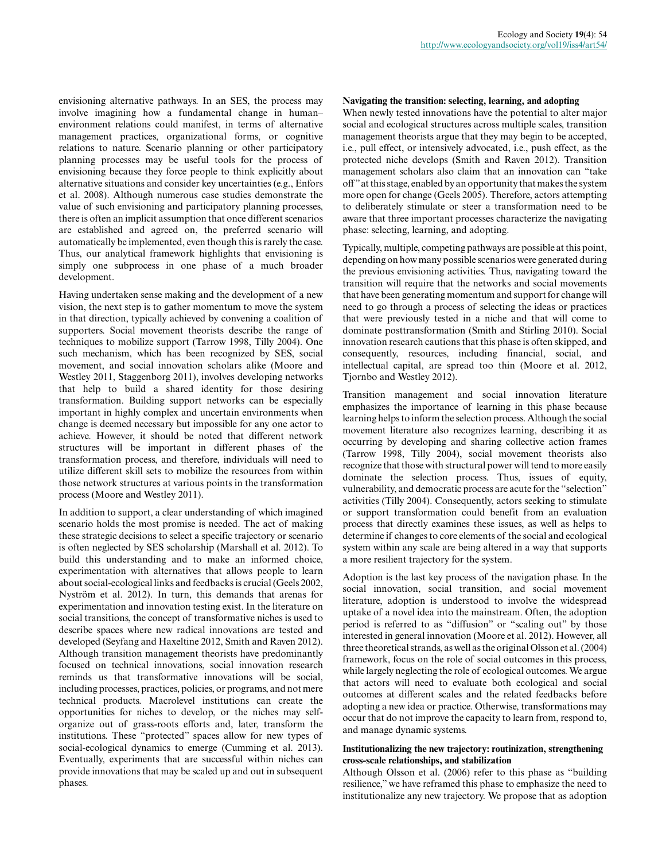envisioning alternative pathways. In an SES, the process may involve imagining how a fundamental change in human– environment relations could manifest, in terms of alternative management practices, organizational forms, or cognitive relations to nature. Scenario planning or other participatory planning processes may be useful tools for the process of envisioning because they force people to think explicitly about alternative situations and consider key uncertainties (e.g., Enfors et al. 2008). Although numerous case studies demonstrate the value of such envisioning and participatory planning processes, there is often an implicit assumption that once different scenarios are established and agreed on, the preferred scenario will automatically be implemented, even though this is rarely the case. Thus, our analytical framework highlights that envisioning is simply one subprocess in one phase of a much broader development.

Having undertaken sense making and the development of a new vision, the next step is to gather momentum to move the system in that direction, typically achieved by convening a coalition of supporters. Social movement theorists describe the range of techniques to mobilize support (Tarrow 1998, Tilly 2004). One such mechanism, which has been recognized by SES, social movement, and social innovation scholars alike (Moore and Westley 2011, Staggenborg 2011), involves developing networks that help to build a shared identity for those desiring transformation. Building support networks can be especially important in highly complex and uncertain environments when change is deemed necessary but impossible for any one actor to achieve. However, it should be noted that different network structures will be important in different phases of the transformation process, and therefore, individuals will need to utilize different skill sets to mobilize the resources from within those network structures at various points in the transformation process (Moore and Westley 2011).

In addition to support, a clear understanding of which imagined scenario holds the most promise is needed. The act of making these strategic decisions to select a specific trajectory or scenario is often neglected by SES scholarship (Marshall et al. 2012). To build this understanding and to make an informed choice, experimentation with alternatives that allows people to learn about social-ecological links and feedbacks is crucial (Geels 2002, Nyström et al. 2012). In turn, this demands that arenas for experimentation and innovation testing exist. In the literature on social transitions, the concept of transformative niches is used to describe spaces where new radical innovations are tested and developed (Seyfang and Haxeltine 2012, Smith and Raven 2012). Although transition management theorists have predominantly focused on technical innovations, social innovation research reminds us that transformative innovations will be social, including processes, practices, policies, or programs, and not mere technical products. Macrolevel institutions can create the opportunities for niches to develop, or the niches may selforganize out of grass-roots efforts and, later, transform the institutions. These "protected" spaces allow for new types of social-ecological dynamics to emerge (Cumming et al. 2013). Eventually, experiments that are successful within niches can provide innovations that may be scaled up and out in subsequent phases.

## **Navigating the transition: selecting, learning, and adopting**

When newly tested innovations have the potential to alter major social and ecological structures across multiple scales, transition management theorists argue that they may begin to be accepted, i.e., pull effect, or intensively advocated, i.e., push effect, as the protected niche develops (Smith and Raven 2012). Transition management scholars also claim that an innovation can "take off" at this stage, enabled by an opportunity that makes the system more open for change (Geels 2005). Therefore, actors attempting to deliberately stimulate or steer a transformation need to be aware that three important processes characterize the navigating phase: selecting, learning, and adopting.

Typically, multiple, competing pathways are possible at this point, depending on how many possible scenarios were generated during the previous envisioning activities. Thus, navigating toward the transition will require that the networks and social movements that have been generating momentum and support for change will need to go through a process of selecting the ideas or practices that were previously tested in a niche and that will come to dominate posttransformation (Smith and Stirling 2010). Social innovation research cautions that this phase is often skipped, and consequently, resources, including financial, social, and intellectual capital, are spread too thin (Moore et al. 2012, Tjornbo and Westley 2012).

Transition management and social innovation literature emphasizes the importance of learning in this phase because learning helps to inform the selection process. Although the social movement literature also recognizes learning, describing it as occurring by developing and sharing collective action frames (Tarrow 1998, Tilly 2004), social movement theorists also recognize that those with structural power will tend to more easily dominate the selection process. Thus, issues of equity, vulnerability, and democratic process are acute for the "selection" activities (Tilly 2004). Consequently, actors seeking to stimulate or support transformation could benefit from an evaluation process that directly examines these issues, as well as helps to determine if changes to core elements of the social and ecological system within any scale are being altered in a way that supports a more resilient trajectory for the system.

Adoption is the last key process of the navigation phase. In the social innovation, social transition, and social movement literature, adoption is understood to involve the widespread uptake of a novel idea into the mainstream. Often, the adoption period is referred to as "diffusion" or "scaling out" by those interested in general innovation (Moore et al. 2012). However, all three theoretical strands, as well as the original Olsson et al. (2004) framework, focus on the role of social outcomes in this process, while largely neglecting the role of ecological outcomes. We argue that actors will need to evaluate both ecological and social outcomes at different scales and the related feedbacks before adopting a new idea or practice. Otherwise, transformations may occur that do not improve the capacity to learn from, respond to, and manage dynamic systems.

## **Institutionalizing the new trajectory: routinization, strengthening cross-scale relationships, and stabilization**

Although Olsson et al. (2006) refer to this phase as "building resilience," we have reframed this phase to emphasize the need to institutionalize any new trajectory. We propose that as adoption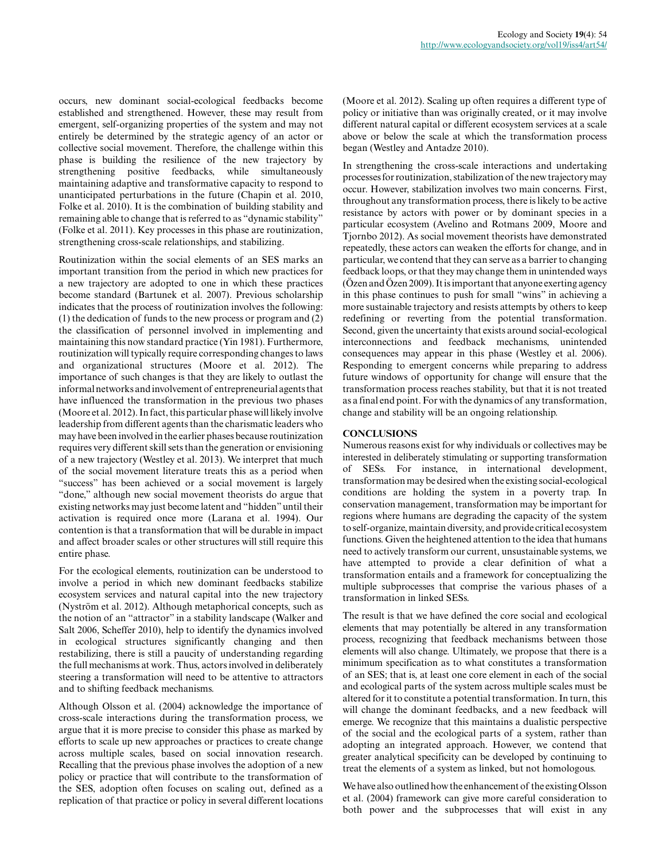occurs, new dominant social-ecological feedbacks become established and strengthened. However, these may result from emergent, self-organizing properties of the system and may not entirely be determined by the strategic agency of an actor or collective social movement. Therefore, the challenge within this phase is building the resilience of the new trajectory by strengthening positive feedbacks, while simultaneously maintaining adaptive and transformative capacity to respond to unanticipated perturbations in the future (Chapin et al. 2010, Folke et al. 2010). It is the combination of building stability and remaining able to change that is referred to as "dynamic stability" (Folke et al. 2011). Key processes in this phase are routinization, strengthening cross-scale relationships, and stabilizing.

Routinization within the social elements of an SES marks an important transition from the period in which new practices for a new trajectory are adopted to one in which these practices become standard (Bartunek et al. 2007). Previous scholarship indicates that the process of routinization involves the following: (1) the dedication of funds to the new process or program and (2) the classification of personnel involved in implementing and maintaining this now standard practice (Yin 1981). Furthermore, routinization will typically require corresponding changes to laws and organizational structures (Moore et al. 2012). The importance of such changes is that they are likely to outlast the informal networks and involvement of entrepreneurial agents that have influenced the transformation in the previous two phases (Moore et al. 2012). In fact, this particular phase will likely involve leadership from different agents than the charismatic leaders who may have been involved in the earlier phases because routinization requires very different skill sets than the generation or envisioning of a new trajectory (Westley et al. 2013). We interpret that much of the social movement literature treats this as a period when "success" has been achieved or a social movement is largely "done," although new social movement theorists do argue that existing networks may just become latent and "hidden" until their activation is required once more (Larana et al. 1994). Our contention is that a transformation that will be durable in impact and affect broader scales or other structures will still require this entire phase.

For the ecological elements, routinization can be understood to involve a period in which new dominant feedbacks stabilize ecosystem services and natural capital into the new trajectory (Nyström et al. 2012). Although metaphorical concepts, such as the notion of an "attractor" in a stability landscape (Walker and Salt 2006, Scheffer 2010), help to identify the dynamics involved in ecological structures significantly changing and then restabilizing, there is still a paucity of understanding regarding the full mechanisms at work. Thus, actors involved in deliberately steering a transformation will need to be attentive to attractors and to shifting feedback mechanisms.

Although Olsson et al. (2004) acknowledge the importance of cross-scale interactions during the transformation process, we argue that it is more precise to consider this phase as marked by efforts to scale up new approaches or practices to create change across multiple scales, based on social innovation research. Recalling that the previous phase involves the adoption of a new policy or practice that will contribute to the transformation of the SES, adoption often focuses on scaling out, defined as a replication of that practice or policy in several different locations

(Moore et al. 2012). Scaling up often requires a different type of policy or initiative than was originally created, or it may involve different natural capital or different ecosystem services at a scale above or below the scale at which the transformation process began (Westley and Antadze 2010).

In strengthening the cross-scale interactions and undertaking processes for routinization, stabilization of the new trajectory may occur. However, stabilization involves two main concerns. First, throughout any transformation process, there is likely to be active resistance by actors with power or by dominant species in a particular ecosystem (Avelino and Rotmans 2009, Moore and Tjornbo 2012). As social movement theorists have demonstrated repeatedly, these actors can weaken the efforts for change, and in particular, we contend that they can serve as a barrier to changing feedback loops, or that they may change them in unintended ways (Özen and Özen 2009). It is important that anyone exerting agency in this phase continues to push for small "wins" in achieving a more sustainable trajectory and resists attempts by others to keep redefining or reverting from the potential transformation. Second, given the uncertainty that exists around social-ecological interconnections and feedback mechanisms, unintended consequences may appear in this phase (Westley et al. 2006). Responding to emergent concerns while preparing to address future windows of opportunity for change will ensure that the transformation process reaches stability, but that it is not treated as a final end point. For with the dynamics of any transformation, change and stability will be an ongoing relationship.

# **CONCLUSIONS**

Numerous reasons exist for why individuals or collectives may be interested in deliberately stimulating or supporting transformation of SESs. For instance, in international development, transformation may be desired when the existing social-ecological conditions are holding the system in a poverty trap. In conservation management, transformation may be important for regions where humans are degrading the capacity of the system to self-organize, maintain diversity, and provide critical ecosystem functions. Given the heightened attention to the idea that humans need to actively transform our current, unsustainable systems, we have attempted to provide a clear definition of what a transformation entails and a framework for conceptualizing the multiple subprocesses that comprise the various phases of a transformation in linked SESs.

The result is that we have defined the core social and ecological elements that may potentially be altered in any transformation process, recognizing that feedback mechanisms between those elements will also change. Ultimately, we propose that there is a minimum specification as to what constitutes a transformation of an SES; that is, at least one core element in each of the social and ecological parts of the system across multiple scales must be altered for it to constitute a potential transformation. In turn, this will change the dominant feedbacks, and a new feedback will emerge. We recognize that this maintains a dualistic perspective of the social and the ecological parts of a system, rather than adopting an integrated approach. However, we contend that greater analytical specificity can be developed by continuing to treat the elements of a system as linked, but not homologous.

We have also outlined how the enhancement of the existing Olsson et al. (2004) framework can give more careful consideration to both power and the subprocesses that will exist in any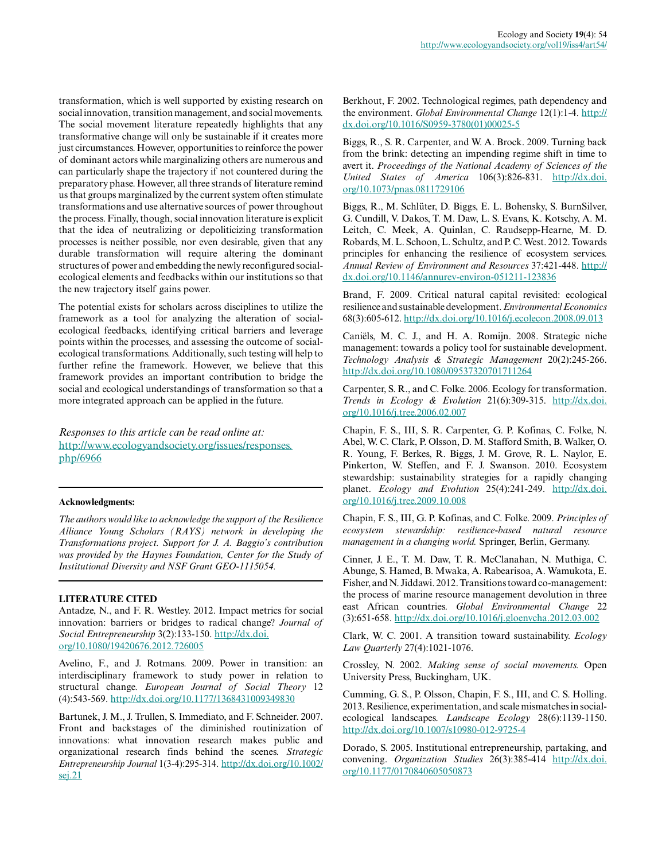transformation, which is well supported by existing research on social innovation, transition management, and social movements. The social movement literature repeatedly highlights that any transformative change will only be sustainable if it creates more just circumstances. However, opportunities to reinforce the power of dominant actors while marginalizing others are numerous and can particularly shape the trajectory if not countered during the preparatory phase. However, all three strands of literature remind us that groups marginalized by the current system often stimulate transformations and use alternative sources of power throughout the process. Finally, though, social innovation literature is explicit that the idea of neutralizing or depoliticizing transformation processes is neither possible, nor even desirable, given that any durable transformation will require altering the dominant structures of power and embedding the newly reconfigured socialecological elements and feedbacks within our institutions so that the new trajectory itself gains power.

The potential exists for scholars across disciplines to utilize the framework as a tool for analyzing the alteration of socialecological feedbacks, identifying critical barriers and leverage points within the processes, and assessing the outcome of socialecological transformations. Additionally, such testing will help to further refine the framework. However, we believe that this framework provides an important contribution to bridge the social and ecological understandings of transformation so that a more integrated approach can be applied in the future.

*Responses to this article can be read online at:* [http://www.ecologyandsociety.org/issues/responses.](http://www.ecologyandsociety.org/issues/responses.php/6966) [php/6966](http://www.ecologyandsociety.org/issues/responses.php/6966)

#### **Acknowledgments:**

*The authors would like to acknowledge the support of the Resilience Alliance Young Scholars (RAYS) network in developing the Transformations project. Support for J. A. Baggio's contribution was provided by the Haynes Foundation, Center for the Study of Institutional Diversity and NSF Grant GEO-1115054.*

## **LITERATURE CITED**

Antadze, N., and F. R. Westley. 2012. Impact metrics for social innovation: barriers or bridges to radical change? *Journal of Social Entrepreneurship* 3(2):133-150. [http://dx.doi.](http://dx.doi.org/10.1080%2F19420676.2012.726005) [org/10.1080/19420676.2012.726005](http://dx.doi.org/10.1080%2F19420676.2012.726005)

Avelino, F., and J. Rotmans. 2009. Power in transition: an interdisciplinary framework to study power in relation to structural change. *European Journal of Social Theory* 12 (4):543-569. [http://dx.doi.org/10.1177/1368431009349830](http://dx.doi.org/10.1177%2F1368431009349830) 

Bartunek, J. M., J. Trullen, S. Immediato, and F. Schneider. 2007. Front and backstages of the diminished routinization of innovations: what innovation research makes public and organizational research finds behind the scenes. *Strategic Entrepreneurship Journal* 1(3-4):295-314. [http://dx.doi.org/10.1002/](http://dx.doi.org/10.1002%2Fsej.21) [sej.21](http://dx.doi.org/10.1002%2Fsej.21)

Berkhout, F. 2002. Technological regimes, path dependency and the environment. *Global Environmental Change* 12(1):1-4. [http://](http://dx.doi.org/10.1016%2FS0959-3780%2801%2900025-5) [dx.doi.org/10.1016/S0959-3780\(01\)00025-5](http://dx.doi.org/10.1016%2FS0959-3780%2801%2900025-5) 

Biggs, R., S. R. Carpenter, and W. A. Brock. 2009. Turning back from the brink: detecting an impending regime shift in time to avert it. *Proceedings of the National Academy of Sciences of the United States of America* 106(3):826-831. [http://dx.doi.](http://dx.doi.org/10.1073%2Fpnas.0811729106) [org/10.1073/pnas.0811729106](http://dx.doi.org/10.1073%2Fpnas.0811729106) 

Biggs, R., M. Schlüter, D. Biggs, E. L. Bohensky, S. BurnSilver, G. Cundill, V. Dakos, T. M. Daw, L. S. Evans, K. Kotschy, A. M. Leitch, C. Meek, A. Quinlan, C. Raudsepp-Hearne, M. D. Robards, M. L. Schoon, L. Schultz, and P. C. West. 2012. Towards principles for enhancing the resilience of ecosystem services. *Annual Review of Environment and Resources* 37:421-448. [http://](http://dx.doi.org/10.1146%2Fannurev-environ-051211-123836) [dx.doi.org/10.1146/annurev-environ-051211-123836](http://dx.doi.org/10.1146%2Fannurev-environ-051211-123836)

Brand, F. 2009. Critical natural capital revisited: ecological resilience and sustainable development. *Environmental Economics* 68(3):605-612. [http://dx.doi.org/10.1016/j.ecolecon.2008.09.013](http://dx.doi.org/10.1016%2Fj.ecolecon.2008.09.013)

Caniëls, M. C. J., and H. A. Romijn. 2008. Strategic niche management: towards a policy tool for sustainable development. *Technology Analysis & Strategic Management* 20(2):245-266. [http://dx.doi.org/10.1080/09537320701711264](http://dx.doi.org/10.1080%2F09537320701711264) 

Carpenter, S. R., and C. Folke. 2006. Ecology for transformation. *Trends in Ecology & Evolution* 21(6):309-315. [http://dx.doi.](http://dx.doi.org/10.1016%2Fj.tree.2006.02.007) [org/10.1016/j.tree.2006.02.007](http://dx.doi.org/10.1016%2Fj.tree.2006.02.007) 

Chapin, F. S., III, S. R. Carpenter, G. P. Kofinas, C. Folke, N. Abel, W. C. Clark, P. Olsson, D. M. Stafford Smith, B. Walker, O. R. Young, F. Berkes, R. Biggs, J. M. Grove, R. L. Naylor, E. Pinkerton, W. Steffen, and F. J. Swanson. 2010. Ecosystem stewardship: sustainability strategies for a rapidly changing planet. *Ecology and Evolution* 25(4):241-249. [http://dx.doi.](http://dx.doi.org/10.1016%2Fj.tree.2009.10.008) [org/10.1016/j.tree.2009.10.008](http://dx.doi.org/10.1016%2Fj.tree.2009.10.008) 

Chapin, F. S., III, G. P. Kofinas, and C. Folke. 2009. *Principles of ecosystem stewardship: resilience-based natural resource management in a changing world.* Springer, Berlin, Germany.

Cinner, J. E., T. M. Daw, T. R. McClanahan, N. Muthiga, C. Abunge, S. Hamed, B. Mwaka, A. Rabearisoa, A. Wamukota, E. Fisher, and N. Jiddawi. 2012. Transitions toward co-management: the process of marine resource management devolution in three east African countries. *Global Environmental Change* 22 (3):651-658. [http://dx.doi.org/10.1016/j.gloenvcha.2012.03.002](http://dx.doi.org/10.1016%2Fj.gloenvcha.2012.03.002) 

Clark, W. C. 2001. A transition toward sustainability. *Ecology Law Quarterly* 27(4):1021-1076.

Crossley, N. 2002. *Making sense of social movements.* Open University Press, Buckingham, UK.

Cumming, G. S., P. Olsson, Chapin, F. S., III, and C. S. Holling. 2013. Resilience, experimentation, and scale mismatches in socialecological landscapes. *Landscape Ecology* 28(6):1139-1150. [http://dx.doi.org/10.1007/s10980-012-9725-4](http://dx.doi.org/10.1007%2Fs10980-012-9725-4)

Dorado, S. 2005. Institutional entrepreneurship, partaking, and convening. *Organization Studies* 26(3):385-414 [http://dx.doi.](http://dx.doi.org/10.1177%2F0170840605050873) [org/10.1177/0170840605050873](http://dx.doi.org/10.1177%2F0170840605050873)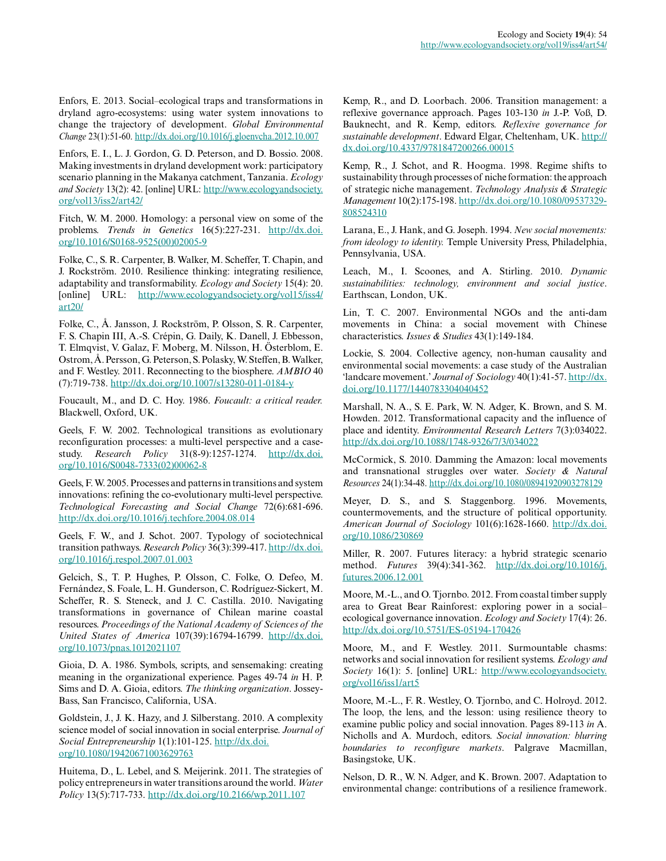Enfors, E. 2013. Social–ecological traps and transformations in dryland agro-ecosystems: using water system innovations to change the trajectory of development. *Global Environmental Change* 23(1):51-60. [http://dx.doi.org/10.1016/j.gloenvcha.2012.10.007](http://dx.doi.org/10.1016%2Fj.gloenvcha.2012.10.007) 

Enfors, E. I., L. J. Gordon, G. D. Peterson, and D. Bossio. 2008. Making investments in dryland development work: participatory scenario planning in the Makanya catchment, Tanzania. *Ecology and Society* 13(2): 42. [online] URL: [http://www.ecologyandsociety.](http://www.ecologyandsociety.org/vol13/iss2/art42/) [org/vol13/iss2/art42/](http://www.ecologyandsociety.org/vol13/iss2/art42/)

Fitch, W. M. 2000. Homology: a personal view on some of the problems. *Trends in Genetics* 16(5):227-231. [http://dx.doi.](http://dx.doi.org/10.1016%2FS0168-9525%2800%2902005-9) [org/10.1016/S0168-9525\(00\)02005-9](http://dx.doi.org/10.1016%2FS0168-9525%2800%2902005-9)

Folke, C., S. R. Carpenter, B. Walker, M. Scheffer, T. Chapin, and J. Rockström. 2010. Resilience thinking: integrating resilience, adaptability and transformability. *Ecology and Society* 15(4): 20. [online] URL: [http://www.ecologyandsociety.org/vol15/iss4/](http://www.ecologyandsociety.org/vol15/iss4/art20/) [art20/](http://www.ecologyandsociety.org/vol15/iss4/art20/)

Folke, C., Å. Jansson, J. Rockström, P. Olsson, S. R. Carpenter, F. S. Chapin III, A.-S. Crépin, G. Daily, K. Danell, J. Ebbesson, T. Elmqvist, V. Galaz, F. Moberg, M. Nilsson, H. Österblom, E. Ostrom, Å. Persson, G. Peterson, S. Polasky, W. Steffen, B. Walker, and F. Westley. 2011. Reconnecting to the biosphere. *AMBIO* 40 (7):719-738. [http://dx.doi.org/10.1007/s13280-011-0184-y](http://dx.doi.org/10.1007%2Fs13280-011-0184-y) 

Foucault, M., and D. C. Hoy. 1986. *Foucault: a critical reader.* Blackwell, Oxford, UK.

Geels, F. W. 2002. Technological transitions as evolutionary reconfiguration processes: a multi-level perspective and a casestudy. *Research Policy* 31(8-9):1257-1274. [http://dx.doi.](http://dx.doi.org/10.1016%2FS0048-7333%2802%2900062-8) [org/10.1016/S0048-7333\(02\)00062-8](http://dx.doi.org/10.1016%2FS0048-7333%2802%2900062-8)

Geels, F. W. 2005. Processes and patterns in transitions and system innovations: refining the co-evolutionary multi-level perspective. *Technological Forecasting and Social Change* 72(6):681-696. [http://dx.doi.org/10.1016/j.techfore.2004.08.014](http://dx.doi.org/10.1016%2Fj.techfore.2004.08.014)

Geels, F. W., and J. Schot. 2007. Typology of sociotechnical transition pathways. *Research Policy* 36(3):399-417. [http://dx.doi.](http://dx.doi.org/10.1016%2Fj.respol.2007.01.003) [org/10.1016/j.respol.2007.01.003](http://dx.doi.org/10.1016%2Fj.respol.2007.01.003)

Gelcich, S., T. P. Hughes, P. Olsson, C. Folke, O. Defeo, M. Fernández, S. Foale, L. H. Gunderson, C. Rodríguez-Sickert, M. Scheffer, R. S. Steneck, and J. C. Castilla. 2010. Navigating transformations in governance of Chilean marine coastal resources. *Proceedings of the National Academy of Sciences of the United States of America* 107(39):16794-16799. [http://dx.doi.](http://dx.doi.org/10.1073/pnas.1012021107) [org/10.1073/pnas.1012021107](http://dx.doi.org/10.1073/pnas.1012021107) 

Gioia, D. A. 1986. Symbols, scripts, and sensemaking: creating meaning in the organizational experience. Pages 49-74 *in* H. P. Sims and D. A. Gioia, editors. *The thinking organization*. Jossey-Bass, San Francisco, California, USA.

Goldstein, J., J. K. Hazy, and J. Silberstang. 2010. A complexity science model of social innovation in social enterprise. *Journal of Social Entrepreneurship* 1(1):101-125. [http://dx.doi.](http://dx.doi.org/10.1080%2F19420671003629763) [org/10.1080/19420671003629763](http://dx.doi.org/10.1080%2F19420671003629763) 

Huitema, D., L. Lebel, and S. Meijerink. 2011. The strategies of policy entrepreneurs in water transitions around the world. *Water Policy* 13(5):717-733. [http://dx.doi.org/10.2166/wp.2011.107](http://dx.doi.org/10.2166%2Fwp.2011.107) 

Kemp, R., and D. Loorbach. 2006. Transition management: a reflexive governance approach. Pages 103-130 *in* J.-P. Voß, D. Bauknecht, and R. Kemp, editors. *Reflexive governance for sustainable development*. Edward Elgar, Cheltenham, UK. [http://](http://dx.doi.org/10.4337%2F9781847200266.00015) [dx.doi.org/10.4337/9781847200266.00015](http://dx.doi.org/10.4337%2F9781847200266.00015)

Kemp, R., J. Schot, and R. Hoogma. 1998. Regime shifts to sustainability through processes of niche formation: the approach of strategic niche management. *Technology Analysis & Strategic Management* 10(2):175-198. [http://dx.doi.org/10.1080/09537329](http://dx.doi.org/10.1080%2F09537329808524310) [808524310](http://dx.doi.org/10.1080%2F09537329808524310) 

Larana, E., J. Hank, and G. Joseph. 1994. *New social movements: from ideology to identity.* Temple University Press, Philadelphia, Pennsylvania, USA.

Leach, M., I. Scoones, and A. Stirling. 2010. *Dynamic sustainabilities: technology, environment and social justice*. Earthscan, London, UK.

Lin, T. C. 2007. Environmental NGOs and the anti-dam movements in China: a social movement with Chinese characteristics. *Issues & Studies* 43(1):149-184.

Lockie, S. 2004. Collective agency, non-human causality and environmental social movements: a case study of the Australian 'landcare movement.' *Journal of Sociology* 40(1):41-57. [http://dx.](http://dx.doi.org/10.1177%2F1440783304040452) [doi.org/10.1177/1440783304040452](http://dx.doi.org/10.1177%2F1440783304040452)

Marshall, N. A., S. E. Park, W. N. Adger, K. Brown, and S. M. Howden. 2012. Transformational capacity and the influence of place and identity. *Environmental Research Letters* 7(3):034022. [http://dx.doi.org/10.1088/1748-9326/7/3/034022](http://dx.doi.org/10.1088%2F1748-9326%2F7%2F3%2F034022) 

McCormick, S. 2010. Damming the Amazon: local movements and transnational struggles over water. *Society & Natural Resources* 24(1):34-48. [http://dx.doi.org/10.1080/08941920903278129](http://dx.doi.org/10.1080%2F08941920903278129) 

Meyer, D. S., and S. Staggenborg. 1996. Movements, countermovements, and the structure of political opportunity. *American Journal of Sociology* 101(6):1628-1660. [http://dx.doi.](http://dx.doi.org/10.1086%2F230869) [org/10.1086/230869](http://dx.doi.org/10.1086%2F230869)

Miller, R. 2007. Futures literacy: a hybrid strategic scenario method. *Futures* 39(4):341-362. [http://dx.doi.org/10.1016/j.](http://dx.doi.org/10.1016%2Fj.futures.2006.12.001) [futures.2006.12.001](http://dx.doi.org/10.1016%2Fj.futures.2006.12.001) 

Moore, M.-L., and O. Tjornbo. 2012. From coastal timber supply area to Great Bear Rainforest: exploring power in a social– ecological governance innovation. *Ecology and Society* 17(4): 26. [http://dx.doi.org/10.5751/ES-05194-170426](http://dx.doi.org/10.5751%2FES-05194-170426) 

Moore, M., and F. Westley. 2011. Surmountable chasms: networks and social innovation for resilient systems. *Ecology and Society* 16(1): 5. [online] URL: [http://www.ecologyandsociety.](http://www.ecologyandsociety.org/vol16/iss1/art5) [org/vol16/iss1/art5](http://www.ecologyandsociety.org/vol16/iss1/art5)

Moore, M.-L., F. R. Westley, O. Tjornbo, and C. Holroyd. 2012. The loop, the lens, and the lesson: using resilience theory to examine public policy and social innovation. Pages 89-113 *in* A. Nicholls and A. Murdoch, editors. *Social innovation: blurring boundaries to reconfigure markets*. Palgrave Macmillan, Basingstoke, UK.

Nelson, D. R., W. N. Adger, and K. Brown. 2007. Adaptation to environmental change: contributions of a resilience framework.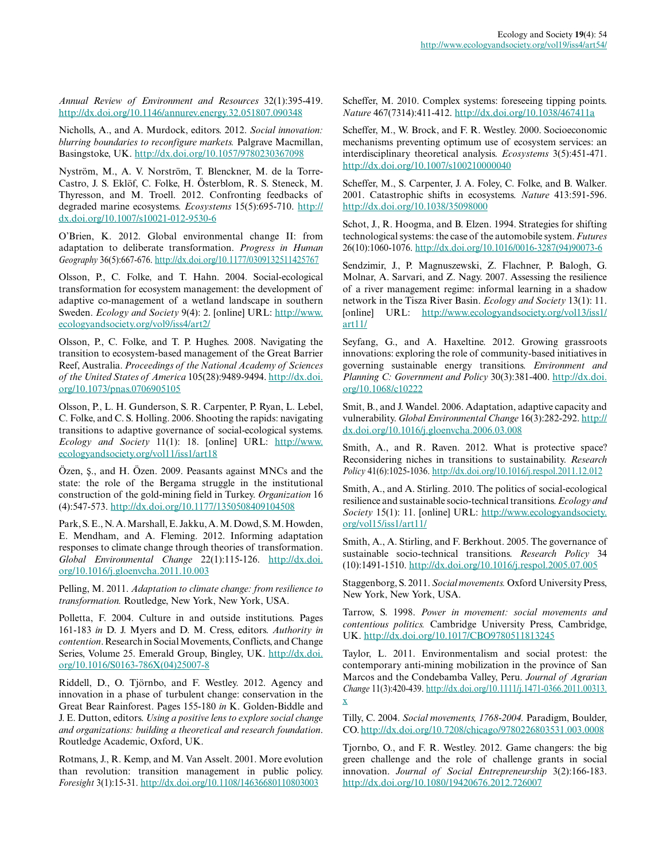*Annual Review of Environment and Resources* 32(1):395-419. [http://dx.doi.org/10.1146/annurev.energy.32.051807.090348](http://dx.doi.org/10.1146%2Fannurev.energy.32.051807.090348)

Nicholls, A., and A. Murdock, editors. 2012. *Social innovation: blurring boundaries to reconfigure markets.* Palgrave Macmillan, Basingstoke, UK. [http://dx.doi.org/10.1057/9780230367098](http://dx.doi.org/10.1057%2F9780230367098)

Nyström, M., A. V. Norström, T. Blenckner, M. de la Torre-Castro, J. S. Eklöf, C. Folke, H. Österblom, R. S. Steneck, M. Thyresson, and M. Troell. 2012. Confronting feedbacks of degraded marine ecosystems. *Ecosystems* 15(5):695-710. [http://](http://dx.doi.org/10.1007%2Fs10021-012-9530-6) [dx.doi.org/10.1007/s10021-012-9530-6](http://dx.doi.org/10.1007%2Fs10021-012-9530-6) 

O'Brien, K. 2012. Global environmental change II: from adaptation to deliberate transformation. *Progress in Human Geography* 36(5):667-676. [http://dx.doi.org/10.1177/0309132511425767](http://dx.doi.org/10.1177%2F0309132511425767) 

Olsson, P., C. Folke, and T. Hahn. 2004. Social-ecological transformation for ecosystem management: the development of adaptive co-management of a wetland landscape in southern Sweden. *Ecology and Society* 9(4): 2. [online] URL: [http://www.](http://www.ecologyandsociety.org/vol9/iss4/art2/) [ecologyandsociety.org/vol9/iss4/art2/](http://www.ecologyandsociety.org/vol9/iss4/art2/)

Olsson, P., C. Folke, and T. P. Hughes. 2008. Navigating the transition to ecosystem-based management of the Great Barrier Reef, Australia. *Proceedings of the National Academy of Sciences of the United States of America* 105(28):9489-9494. [http://dx.doi.](http://dx.doi.org/10.1073%2Fpnas.0706905105) [org/10.1073/pnas.0706905105](http://dx.doi.org/10.1073%2Fpnas.0706905105) 

Olsson, P., L. H. Gunderson, S. R. Carpenter, P. Ryan, L. Lebel, C. Folke, and C. S. Holling. 2006. Shooting the rapids: navigating transitions to adaptive governance of social-ecological systems. *Ecology and Society* 11(1): 18. [online] URL: [http://www.](http://www.ecologyandsociety.org/vol11/iss1/art18) [ecologyandsociety.org/vol11/iss1/art18](http://www.ecologyandsociety.org/vol11/iss1/art18) 

Özen, Ş., and H. Özen. 2009. Peasants against MNCs and the state: the role of the Bergama struggle in the institutional construction of the gold-mining field in Turkey. *Organization* 16 (4):547-573. [http://dx.doi.org/10.1177/1350508409104508](http://dx.doi.org/10.1177%2F1350508409104508) 

Park, S. E., N. A. Marshall, E. Jakku, A. M. Dowd, S. M. Howden, E. Mendham, and A. Fleming. 2012. Informing adaptation responses to climate change through theories of transformation. *Global Environmental Change* 22(1):115-126. [http://dx.doi.](http://dx.doi.org/10.1016%2Fj.gloenvcha.2011.10.003) [org/10.1016/j.gloenvcha.2011.10.003](http://dx.doi.org/10.1016%2Fj.gloenvcha.2011.10.003)

Pelling, M. 2011. *Adaptation to climate change: from resilience to transformation.* Routledge, New York, New York, USA.

Polletta, F. 2004. Culture in and outside institutions. Pages 161-183 *in* D. J. Myers and D. M. Cress, editors. *Authority in contention*. Research in Social Movements, Conflicts, and Change Series, Volume 25. Emerald Group, Bingley, UK. [http://dx.doi.](http://dx.doi.org/10.1016/S0163-786X(04)25007-8) [org/10.1016/S0163-786X\(04\)25007-8](http://dx.doi.org/10.1016/S0163-786X(04)25007-8) 

Riddell, D., O. Tjörnbo, and F. Westley. 2012. Agency and innovation in a phase of turbulent change: conservation in the Great Bear Rainforest. Pages 155-180 *in* K. Golden-Biddle and J. E. Dutton, editors. *Using a positive lens to explore social change and organizations: building a theoretical and research foundation*. Routledge Academic, Oxford, UK.

Rotmans, J., R. Kemp, and M. Van Asselt. 2001. More evolution than revolution: transition management in public policy. *Foresight* 3(1):15-31. [http://dx.doi.org/10.1108/14636680110803003](http://dx.doi.org/10.1108%2F14636680110803003) 

Scheffer, M. 2010. Complex systems: foreseeing tipping points. *Nature* 467(7314):411-412. [http://dx.doi.org/10.1038/467411a](http://dx.doi.org/10.1038%2F467411a) 

Scheffer, M., W. Brock, and F. R. Westley. 2000. Socioeconomic mechanisms preventing optimum use of ecosystem services: an interdisciplinary theoretical analysis. *Ecosystems* 3(5):451-471. [http://dx.doi.org/10.1007/s100210000040](http://dx.doi.org/10.1007%2Fs100210000040) 

Scheffer, M., S. Carpenter, J. A. Foley, C. Folke, and B. Walker. 2001. Catastrophic shifts in ecosystems. *Nature* 413:591-596. [http://dx.doi.org/10.1038/35098000](http://dx.doi.org/10.1038%2F35098000)

Schot, J., R. Hoogma, and B. Elzen. 1994. Strategies for shifting technological systems: the case of the automobile system. *Futures* 26(10):1060-1076. [http://dx.doi.org/10.1016/0016-3287\(94\)90073-6](http://dx.doi.org/10.1016%2F0016-3287%2894%2990073-6) 

Sendzimir, J., P. Magnuszewski, Z. Flachner, P. Balogh, G. Molnar, A. Sarvari, and Z. Nagy. 2007. Assessing the resilience of a river management regime: informal learning in a shadow network in the Tisza River Basin. *Ecology and Society* 13(1): 11. [online] URL: [http://www.ecologyandsociety.org/vol13/iss1/](http://www.ecologyandsociety.org/vol13/iss1/art11/) [art11/](http://www.ecologyandsociety.org/vol13/iss1/art11/)

Seyfang, G., and A. Haxeltine. 2012. Growing grassroots innovations: exploring the role of community-based initiatives in governing sustainable energy transitions. *Environment and Planning C: Government and Policy* 30(3):381-400. [http://dx.doi.](http://dx.doi.org/10.1068%2Fc10222) [org/10.1068/c10222](http://dx.doi.org/10.1068%2Fc10222) 

Smit, B., and J. Wandel. 2006. Adaptation, adaptive capacity and vulnerability. *Global Environmental Change* 16(3):282-292. [http://](http://dx.doi.org/10.1016%2Fj.gloenvcha.2006.03.008) [dx.doi.org/10.1016/j.gloenvcha.2006.03.008](http://dx.doi.org/10.1016%2Fj.gloenvcha.2006.03.008) 

Smith, A., and R. Raven. 2012. What is protective space? Reconsidering niches in transitions to sustainability. *Research Policy* 41(6):1025-1036. [http://dx.doi.org/10.1016/j.respol.2011.12.012](http://dx.doi.org/10.1016%2Fj.respol.2011.12.012) 

Smith, A., and A. Stirling. 2010. The politics of social-ecological resilience and sustainable socio-technical transitions. *Ecology and Society* 15(1): 11. [online] URL: [http://www.ecologyandsociety.](http://www.ecologyandsociety.org/vol15/iss1/art11/) [org/vol15/iss1/art11/](http://www.ecologyandsociety.org/vol15/iss1/art11/)

Smith, A., A. Stirling, and F. Berkhout. 2005. The governance of sustainable socio-technical transitions. *Research Policy* 34 (10):1491-1510. [http://dx.doi.org/10.1016/j.respol.2005.07.005](http://dx.doi.org/10.1016%2Fj.respol.2005.07.005)

Staggenborg, S. 2011. *Social movements.* Oxford University Press, New York, New York, USA.

Tarrow, S. 1998. *Power in movement: social movements and contentious politics.* Cambridge University Press, Cambridge, UK. [http://dx.doi.org/10.1017/CBO9780511813245](http://dx.doi.org/10.1017%2FCBO9780511813245) 

Taylor, L. 2011. Environmentalism and social protest: the contemporary anti-mining mobilization in the province of San Marcos and the Condebamba Valley, Peru. *Journal of Agrarian Change* 11(3):420-439. [http://dx.doi.org/10.1111/j.1471-0366.2011.00313.](http://dx.doi.org/10.1111%2Fj.1471-0366.2011.00313.x) [x](http://dx.doi.org/10.1111%2Fj.1471-0366.2011.00313.x) 

Tilly, C. 2004. *Social movements, 1768-2004.* Paradigm, Boulder, CO. [http://dx.doi.org/10.7208/chicago/9780226803531.003.0008](http://dx.doi.org/10.7208%2Fchicago%2F9780226803531.003.0008)

Tjornbo, O., and F. R. Westley. 2012. Game changers: the big green challenge and the role of challenge grants in social innovation. *Journal of Social Entrepreneurship* 3(2):166-183. [http://dx.doi.org/10.1080/19420676.2012.726007](http://dx.doi.org/10.1080%2F19420676.2012.726007)